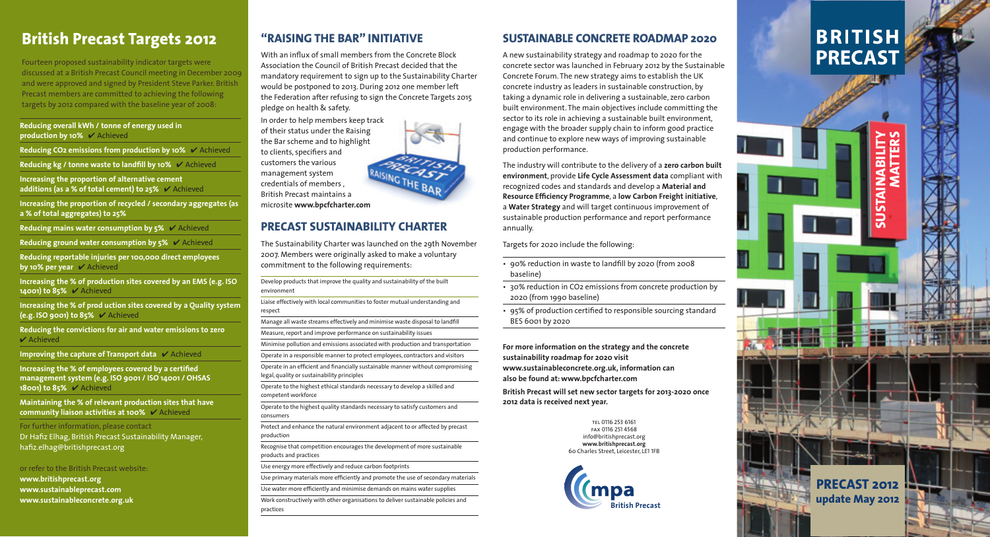### **SUSTAINABLE CONCRETE ROADMAP 2020**

A new sustainability strategy and roadmap to 2020 for the concrete sector was launched in February 2012 by the Sustainable Concrete Forum. The new strategy aims to establish the UK concrete industry as leaders in sustainable construction, by taking a dynamic role in delivering a sustainable, zero carbon built environment. The main objectives include committing the sector to its role in achieving a sustainable built environment, engage with the broader supply chain to inform good practice and continue to explore new ways of improving sustainable production performance.

- 90% reduction in waste to landfill by 2020 (from 2008 baseline)
- 30% reduction in CO2 emissions from concrete production by 2020 (from 1990 baseline)
- 95% of production certified to responsible sourcing standard BES 6001 by 2020

The industry will contribute to the delivery of a **zero carbon built environment**, provide **Life Cycle Assessment data** compliant with recognized codes and standards and develop a **Material and Resource Efficiency Programme, a low Carbon Freight initiative,** a **Water Strategy** and will target continuous improvement of sustainable production performance and report performance annually.

Targets for 2020 include the following:

**For more information on the strategy and the concrete sustainability roadmap for 2020 visit www.sustainableconcrete.org.uk, information can also be found at: www.bpcfcharter.com**

Increasing the % of employees covered by a certified **management system (e.g. ISO 9001 / ISO 14001 / OHSAS 18001) to 85%** ✔ Achieved

**British Precast will set new sector targets for 2013-2020 once 2012 data is received next year.** 

For further information, please contact Dr Hafiz Elhag, British Precast Sustainability Manager, hafiz.elhag@britishprecast.org

# **British Precast Targets 2012**

Fourteen proposed sustainability indicator targets were discussed at a British Precast Council meeting in December 2009 and were approved and signed by President Steve Parker. British Precast members are committed to achieving the following targets by 2012 compared with the baseline year of 2008:

With an influx of small members from the Concrete Block Association the Council of British Precast decided that the mandatory requirement to sign up to the Sustainability Charter would be postponed to 2013. During 2012 one member left the Federation after refusing to sign the Concrete Targets 2015 pledge on health & safety.

**Reducing overall kWh / tonne of energy used in production by 10%** ✔ Achieved

**Reducing CO2 emissions from production by 10%** ✔ Achieved

**Reducing kg / tonne waste to landfill by 10% ↓ Achieved** 

**Increasing the proportion of alternative cement additions (as a % of total cement) to 25%** ✔ Achieved

**Increasing the proportion of recycled / secondary aggregates (as a % of total aggregates) to 25%** 

**Reducing mains water consumption by 5%** ✔ Achieved

**Reducing ground water consumption by 5%** ✔ Achieved

Operate in an efficient and financially sustainable manner without compromising legal, quality or sustainability principles

**Reducing reportable injuries per 100,000 direct employees by 10% per year** ✔ Achieved

**Increasing the % of production sites covered by an EMS (e.g. ISO 14001) to 85%** ✔ Achieved

**Increasing the % of prod uction sites covered by a Quality system (e.g. ISO 9001) to 85%** ✔ Achieved

**Reducing the convictions for air and water emissions to zero**  ✔ Achieved

> Work constructively with other organisations to deliver sustainable policies and practices **British Precast**

**Improving the capture of Transport data** ✔ Achieved

**Maintaining the % of relevant production sites that have community liaison activities at 100%** ✔ Achieved

or refer to the British Precast website:

**www.britishprecast.org www.sustainableprecast.com www.sustainableconcrete.org.uk**

tel 0116 253 6161 fax 0116 251 4568 info@britishprecast.org **www.britishprecast.org** 60 Charles Street, Leicester, LE1 1FB





# **BRITISH PRECAST**

### **"RAISING THE BAR" INITIATIVE**

In order to help members keep track of their status under the Raising the Bar scheme and to highlight to clients, specifiers and customers the various management system credentials of members , British Precast maintains a microsite **www.bpcfcharter.com**

## **PRECAST SUSTAINABILITY CHARTER**

The Sustainability Charter was launched on the 29th November 2007. Members were originally asked to make a voluntary commitment to the following requirements:

Develop products that improve the quality and sustainability of the built environment

Liaise effectively with local communities to foster mutual understanding and respect

Manage all waste streams effectively and minimise waste disposal to landfill

Measure, report and improve performance on sustainability issues

Minimise pollution and emissions associated with production and transportation

Operate in a responsible manner to protect employees, contractors and visitors

Operate to the highest ethical standards necessary to develop a skilled and competent workforce

Operate to the highest quality standards necessary to satisfy customers and consumers

Protect and enhance the natural environment adjacent to or affected by precast production

Recognise that competition encourages the development of more sustainable products and practices

Use energy more effectively and reduce carbon footprints

Use primary materials more efficiently and promote the use of secondary materials

Use water more efficiently and minimise demands on mains water supplies